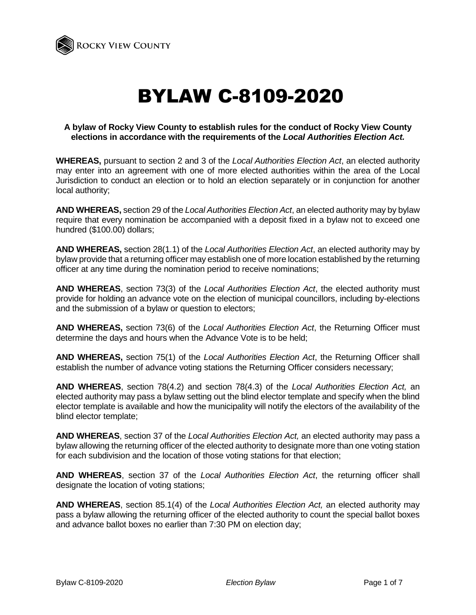

# BYLAW C-8109-2020

## **A bylaw of Rocky View County to establish rules for the conduct of Rocky View County elections in accordance with the requirements of the** *Local Authorities Election Act.*

**WHEREAS,** pursuant to section 2 and 3 of the *Local Authorities Election Act*, an elected authority may enter into an agreement with one of more elected authorities within the area of the Local Jurisdiction to conduct an election or to hold an election separately or in conjunction for another local authority;

**AND WHEREAS,** section 29 of the *Local Authorities Election Act*, an elected authority may by bylaw require that every nomination be accompanied with a deposit fixed in a bylaw not to exceed one hundred (\$100.00) dollars;

**AND WHEREAS,** section 28(1.1) of the *Local Authorities Election Act*, an elected authority may by bylaw provide that a returning officer may establish one of more location established by the returning officer at any time during the nomination period to receive nominations;

**AND WHEREAS**, section 73(3) of the *Local Authorities Election Act*, the elected authority must provide for holding an advance vote on the election of municipal councillors, including by-elections and the submission of a bylaw or question to electors;

**AND WHEREAS,** section 73(6) of the *Local Authorities Election Act*, the Returning Officer must determine the days and hours when the Advance Vote is to be held;

**AND WHEREAS,** section 75(1) of the *Local Authorities Election Act*, the Returning Officer shall establish the number of advance voting stations the Returning Officer considers necessary;

**AND WHEREAS**, section 78(4.2) and section 78(4.3) of the *Local Authorities Election Act,* an elected authority may pass a bylaw setting out the blind elector template and specify when the blind elector template is available and how the municipality will notify the electors of the availability of the blind elector template;

**AND WHEREAS**, section 37 of the *Local Authorities Election Act,* an elected authority may pass a bylaw allowing the returning officer of the elected authority to designate more than one voting station for each subdivision and the location of those voting stations for that election;

**AND WHEREAS**, section 37 of the *Local Authorities Election Act*, the returning officer shall designate the location of voting stations;

**AND WHEREAS**, section 85.1(4) of the *Local Authorities Election Act,* an elected authority may pass a bylaw allowing the returning officer of the elected authority to count the special ballot boxes and advance ballot boxes no earlier than 7:30 PM on election day;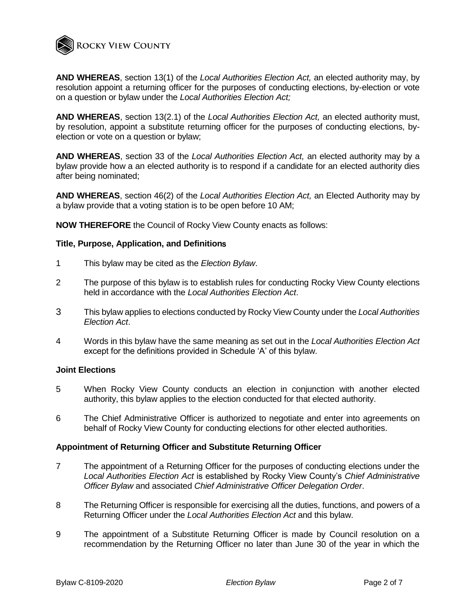

**AND WHEREAS**, section 13(1) of the *Local Authorities Election Act,* an elected authority may, by resolution appoint a returning officer for the purposes of conducting elections, by-election or vote on a question or bylaw under the *Local Authorities Election Act;*

**AND WHEREAS**, section 13(2.1) of the *Local Authorities Election Act,* an elected authority must, by resolution, appoint a substitute returning officer for the purposes of conducting elections, byelection or vote on a question or bylaw;

**AND WHEREAS**, section 33 of the *Local Authorities Election Act,* an elected authority may by a bylaw provide how a an elected authority is to respond if a candidate for an elected authority dies after being nominated;

**AND WHEREAS**, section 46(2) of the *Local Authorities Election Act,* an Elected Authority may by a bylaw provide that a voting station is to be open before 10 AM;

**NOW THEREFORE** the Council of Rocky View County enacts as follows:

#### **Title, Purpose, Application, and Definition**s

- 1 This bylaw may be cited as the *Election Bylaw*.
- 2 The purpose of this bylaw is to establish rules for conducting Rocky View County elections held in accordance with the *Local Authorities Election Act*.
- 3 This bylaw applies to elections conducted by Rocky View County under the *Local Authorities Election Act*.
- 4 Words in this bylaw have the same meaning as set out in the *Local Authorities Election Act* except for the definitions provided in Schedule 'A' of this bylaw.

#### **Joint Elections**

- 5 When Rocky View County conducts an election in conjunction with another elected authority, this bylaw applies to the election conducted for that elected authority.
- 6 The Chief Administrative Officer is authorized to negotiate and enter into agreements on behalf of Rocky View County for conducting elections for other elected authorities.

## **Appointment of Returning Officer and Substitute Returning Officer**

- 7 The appointment of a Returning Officer for the purposes of conducting elections under the *Local Authorities Election Act* is established by Rocky View County's *Chief Administrative Officer Bylaw* and associated *Chief Administrative Officer Delegation Order*.
- 8 The Returning Officer is responsible for exercising all the duties, functions, and powers of a Returning Officer under the *Local Authorities Election Act* and this bylaw.
- 9 The appointment of a Substitute Returning Officer is made by Council resolution on a recommendation by the Returning Officer no later than June 30 of the year in which the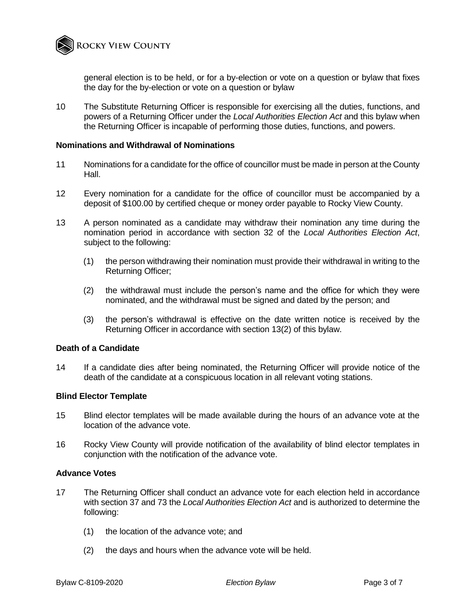

general election is to be held, or for a by-election or vote on a question or bylaw that fixes the day for the by-election or vote on a question or bylaw

10 The Substitute Returning Officer is responsible for exercising all the duties, functions, and powers of a Returning Officer under the *Local Authorities Election Act* and this bylaw when the Returning Officer is incapable of performing those duties, functions, and powers.

#### **Nominations and Withdrawal of Nominations**

- 11 Nominations for a candidate for the office of councillor must be made in person at the County Hall.
- 12 Every nomination for a candidate for the office of councillor must be accompanied by a deposit of \$100.00 by certified cheque or money order payable to Rocky View County.
- 13 A person nominated as a candidate may withdraw their nomination any time during the nomination period in accordance with section 32 of the *Local Authorities Election Act*, subject to the following:
	- (1) the person withdrawing their nomination must provide their withdrawal in writing to the Returning Officer;
	- (2) the withdrawal must include the person's name and the office for which they were nominated, and the withdrawal must be signed and dated by the person; and
	- (3) the person's withdrawal is effective on the date written notice is received by the Returning Officer in accordance with section 13(2) of this bylaw.

#### **Death of a Candidate**

14 If a candidate dies after being nominated, the Returning Officer will provide notice of the death of the candidate at a conspicuous location in all relevant voting stations.

#### **Blind Elector Template**

- 15 Blind elector templates will be made available during the hours of an advance vote at the location of the advance vote.
- 16 Rocky View County will provide notification of the availability of blind elector templates in conjunction with the notification of the advance vote.

#### **Advance Votes**

- 17 The Returning Officer shall conduct an advance vote for each election held in accordance with section 37 and 73 the *Local Authorities Election Act* and is authorized to determine the following:
	- (1) the location of the advance vote; and
	- (2) the days and hours when the advance vote will be held.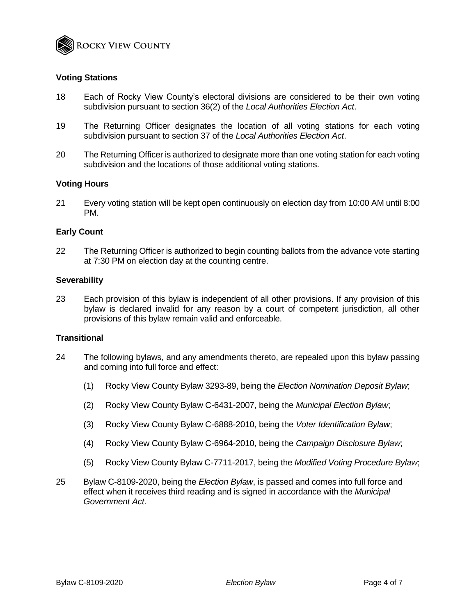

## **Voting Stations**

- 18 Each of Rocky View County's electoral divisions are considered to be their own voting subdivision pursuant to section 36(2) of the *Local Authorities Election Act*.
- 19 The Returning Officer designates the location of all voting stations for each voting subdivision pursuant to section 37 of the *Local Authorities Election Act*.
- 20 The Returning Officer is authorized to designate more than one voting station for each voting subdivision and the locations of those additional voting stations.

## **Voting Hours**

21 Every voting station will be kept open continuously on election day from 10:00 AM until 8:00 PM.

#### **Early Count**

22 The Returning Officer is authorized to begin counting ballots from the advance vote starting at 7:30 PM on election day at the counting centre.

#### **Severability**

23 Each provision of this bylaw is independent of all other provisions. If any provision of this bylaw is declared invalid for any reason by a court of competent jurisdiction, all other provisions of this bylaw remain valid and enforceable.

# **Transitional**

- 24 The following bylaws, and any amendments thereto, are repealed upon this bylaw passing and coming into full force and effect:
	- (1) Rocky View County Bylaw 3293-89, being the *Election Nomination Deposit Bylaw*;
	- (2) Rocky View County Bylaw C-6431-2007, being the *Municipal Election Bylaw*;
	- (3) Rocky View County Bylaw C-6888-2010, being the *Voter Identification Bylaw*;
	- (4) Rocky View County Bylaw C-6964-2010, being the *Campaign Disclosure Bylaw*;
	- (5) Rocky View County Bylaw C-7711-2017, being the *Modified Voting Procedure Bylaw*;
- 25 Bylaw C-8109-2020, being the *Election Bylaw*, is passed and comes into full force and effect when it receives third reading and is signed in accordance with the *Municipal Government Act*.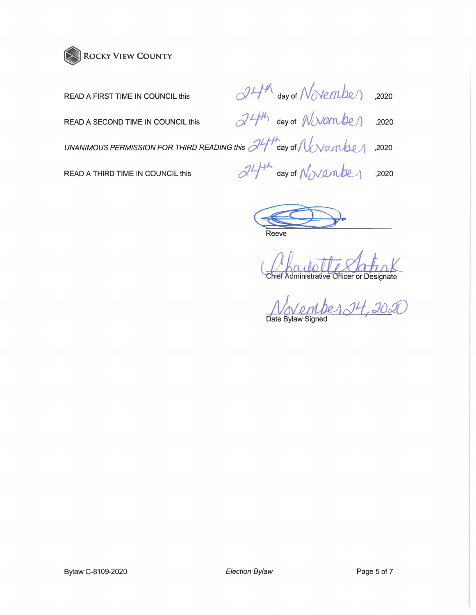

| READ A FIRST TIME IN COUNCIL this                                                                                                          | 24th day of November ,2020              |  |
|--------------------------------------------------------------------------------------------------------------------------------------------|-----------------------------------------|--|
| READ A SECOND TIME IN COUNCIL this                                                                                                         | $24$ <sup>th</sup> day of November 2020 |  |
| UNANIMOUS PERMISSION FOR THIRD READING this $\mathcal{A}$ ay of $\mathcal{N}_{\text{c}}$ $\mathcal{A}_{\text{c}}$ $\mathcal{A}_{\text{c}}$ |                                         |  |
| READ A THIRD TIME IN COUNCIL this                                                                                                          | $d4^{\mu}$ day of November 2020         |  |
|                                                                                                                                            |                                         |  |

G§J:5;). **Reeve** 

Chief Administrative Officer or Designate

*/Vov.enU1?1 cJtl* :Jo:JD **VOV VIIVA**<br>Date Bylaw Signed

Bylaw C-8109-2020 **Election Bylaw Election Bylaw** Page 5 of 7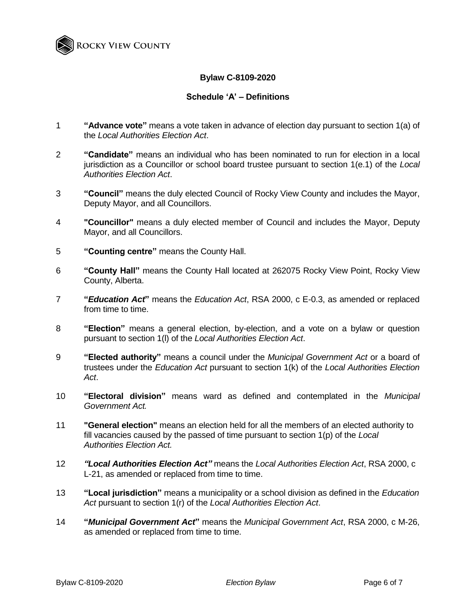

# **Bylaw C-8109-2020**

# **Schedule 'A' – Definitions**

- 1 **"Advance vote"** means a vote taken in advance of election day pursuant to section 1(a) of the *Local Authorities Election Act*.
- 2 **"Candidate"** means an individual who has been nominated to run for election in a local jurisdiction as a Councillor or school board trustee pursuant to section 1(e.1) of the *Local Authorities Election Act*.
- 3 **"Council"** means the duly elected Council of Rocky View County and includes the Mayor, Deputy Mayor, and all Councillors.
- 4 **"Councillor"** means a duly elected member of Council and includes the Mayor, Deputy Mayor, and all Councillors.
- 5 **"Counting centre"** means the County Hall.
- 6 **"County Hall"** means the County Hall located at 262075 Rocky View Point, Rocky View County, Alberta.
- 7 **"***Education Act***"** means the *Education Act*, RSA 2000, c E-0.3, as amended or replaced from time to time.
- 8 **"Election"** means a general election, by-election, and a vote on a bylaw or question pursuant to section 1(l) of the *Local Authorities Election Act*.
- 9 **"Elected authority"** means a council under the *Municipal Government Act* or a board of trustees under the *Education Act* pursuant to section 1(k) of the *Local Authorities Election Act*.
- 10 **"Electoral division"** means ward as defined and contemplated in the *Municipal Government Act.*
- 11 **"General election"** means an election held for all the members of an elected authority to fill vacancies caused by the passed of time pursuant to section 1(p) of the *Local Authorities Election Act.*
- 12 *"Local Authorities Election Act"* means the *Local Authorities Election Act*, RSA 2000, c L-21, as amended or replaced from time to time.
- 13 **"Local jurisdiction"** means a municipality or a school division as defined in the *Education Act* pursuant to section 1(r) of the *Local Authorities Election Act*.
- 14 **"***Municipal Government Act***"** means the *Municipal Government Act*, RSA 2000, c M-26, as amended or replaced from time to time.